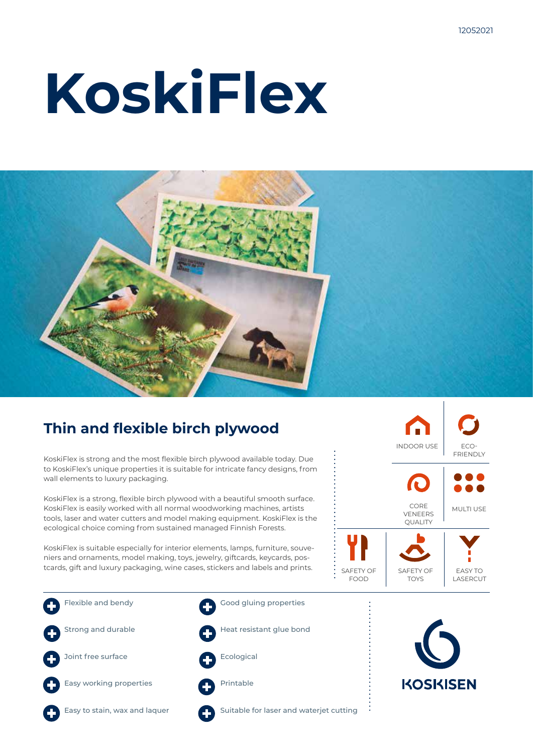# **KoskiFlex**



### **Thin and flexible birch plywood**

KoskiFlex is strong and the most flexible birch plywood available today. Due to KoskiFlex's unique properties it is suitable for intricate fancy designs, from wall elements to luxury packaging.

KoskiFlex is a strong, flexible birch plywood with a beautiful smooth surface. KoskiFlex is easily worked with all normal woodworking machines, artists tools, laser and water cutters and model making equipment. KoskiFlex is the ecological choice coming from sustained managed Finnish Forests.

KoskiFlex is suitable especially for interior elements, lamps, furniture, souveniers and ornaments, model making, toys, jewelry, giftcards, keycards, postcards, gift and luxury packaging, wine cases, stickers and labels and prints.